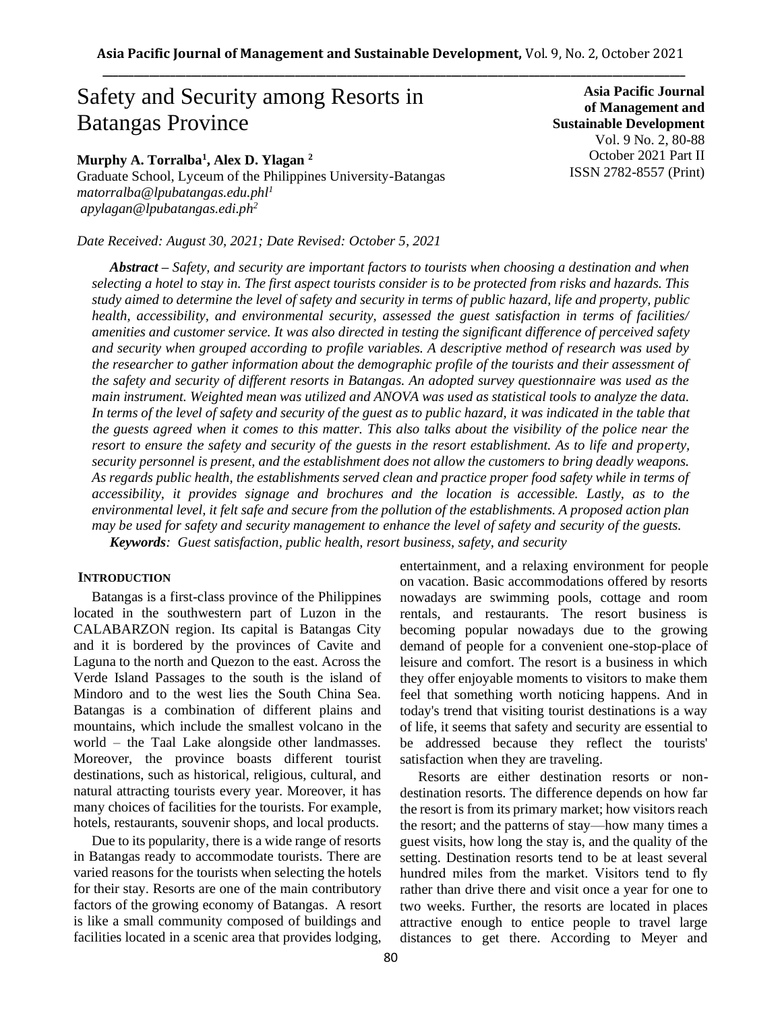# Safety and Security among Resorts in Batangas Province

**Murphy A. Torralba<sup>1</sup> , Alex D. Ylagan <sup>2</sup>**

Graduate School, Lyceum of the Philippines University-Batangas *matorralba@lpubatangas.edu.phl<sup>1</sup> apylagan@lpubatangas.edi.ph<sup>2</sup>*

*Date Received: August 30, 2021; Date Revised: October 5, 2021*

*Abstract – Safety, and security are important factors to tourists when choosing a destination and when selecting a hotel to stay in. The first aspect tourists consider is to be protected from risks and hazards. This study aimed to determine the level of safety and security in terms of public hazard, life and property, public health, accessibility, and environmental security, assessed the guest satisfaction in terms of facilities/ amenities and customer service. It was also directed in testing the significant difference of perceived safety and security when grouped according to profile variables. A descriptive method of research was used by the researcher to gather information about the demographic profile of the tourists and their assessment of the safety and security of different resorts in Batangas. An adopted survey questionnaire was used as the main instrument. Weighted mean was utilized and ANOVA was used as statistical tools to analyze the data.*  In terms of the level of safety and security of the guest as to public hazard, it was indicated in the table that *the guests agreed when it comes to this matter. This also talks about the visibility of the police near the resort to ensure the safety and security of the guests in the resort establishment. As to life and property, security personnel is present, and the establishment does not allow the customers to bring deadly weapons. As regards public health, the establishments served clean and practice proper food safety while in terms of accessibility, it provides signage and brochures and the location is accessible. Lastly, as to the environmental level, it felt safe and secure from the pollution of the establishments. A proposed action plan may be used for safety and security management to enhance the level of safety and security of the guests.* 

*Keywords: Guest satisfaction, public health, resort business, safety, and security*

# **INTRODUCTION**

Batangas is a first-class province of the Philippines located in the southwestern part of Luzon in the CALABARZON region. Its capital is Batangas City and it is bordered by the provinces of Cavite and Laguna to the north and Quezon to the east. Across the Verde Island Passages to the south is the island of Mindoro and to the west lies the South China Sea. Batangas is a combination of different plains and mountains, which include the smallest volcano in the world – the Taal Lake alongside other landmasses. Moreover, the province boasts different tourist destinations, such as historical, religious, cultural, and natural attracting tourists every year. Moreover, it has many choices of facilities for the tourists. For example, hotels, restaurants, souvenir shops, and local products.

Due to its popularity, there is a wide range of resorts in Batangas ready to accommodate tourists. There are varied reasons for the tourists when selecting the hotels for their stay. Resorts are one of the main contributory factors of the growing economy of Batangas. A resort is like a small community composed of buildings and facilities located in a scenic area that provides lodging,

entertainment, and a relaxing environment for people on vacation. Basic accommodations offered by resorts nowadays are swimming pools, cottage and room rentals, and restaurants. The resort business is becoming popular nowadays due to the growing demand of people for a convenient one-stop-place of leisure and comfort. The resort is a business in which they offer enjoyable moments to visitors to make them feel that something worth noticing happens. And in today's trend that visiting tourist destinations is a way of life, it seems that safety and security are essential to be addressed because they reflect the tourists' satisfaction when they are traveling.

**Asia Pacific Journal of Management and Sustainable Development** 

> Vol. 9 No. 2, 80-88 October 2021 Part II ISSN 2782-8557 (Print)

Resorts are either destination resorts or nondestination resorts. The difference depends on how far the resort is from its primary market; how visitors reach the resort; and the patterns of stay—how many times a guest visits, how long the stay is, and the quality of the setting. Destination resorts tend to be at least several hundred miles from the market. Visitors tend to fly rather than drive there and visit once a year for one to two weeks. Further, the resorts are located in places attractive enough to entice people to travel large distances to get there. According to Meyer and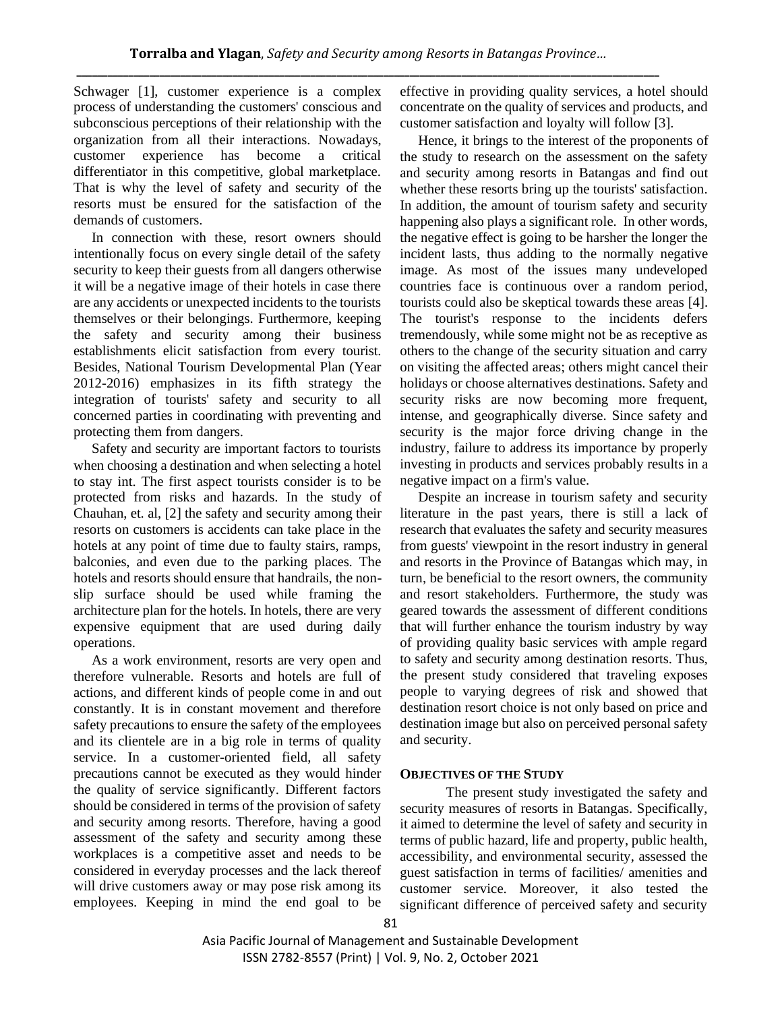Schwager [1], customer experience is a complex process of understanding the customers' conscious and subconscious perceptions of their relationship with the organization from all their interactions. Nowadays, customer experience has become a critical differentiator in this competitive, global marketplace. That is why the level of safety and security of the resorts must be ensured for the satisfaction of the demands of customers.

In connection with these, resort owners should intentionally focus on every single detail of the safety security to keep their guests from all dangers otherwise it will be a negative image of their hotels in case there are any accidents or unexpected incidents to the tourists themselves or their belongings. Furthermore, keeping the safety and security among their business establishments elicit satisfaction from every tourist. Besides, National Tourism Developmental Plan (Year 2012-2016) emphasizes in its fifth strategy the integration of tourists' safety and security to all concerned parties in coordinating with preventing and protecting them from dangers.

Safety and security are important factors to tourists when choosing a destination and when selecting a hotel to stay int. The first aspect tourists consider is to be protected from risks and hazards. In the study of Chauhan, et. al, [2] the safety and security among their resorts on customers is accidents can take place in the hotels at any point of time due to faulty stairs, ramps, balconies, and even due to the parking places. The hotels and resorts should ensure that handrails, the nonslip surface should be used while framing the architecture plan for the hotels. In hotels, there are very expensive equipment that are used during daily operations.

As a work environment, resorts are very open and therefore vulnerable. Resorts and hotels are full of actions, and different kinds of people come in and out constantly. It is in constant movement and therefore safety precautions to ensure the safety of the employees and its clientele are in a big role in terms of quality service. In a customer-oriented field, all safety precautions cannot be executed as they would hinder the quality of service significantly. Different factors should be considered in terms of the provision of safety and security among resorts. Therefore, having a good assessment of the safety and security among these workplaces is a competitive asset and needs to be considered in everyday processes and the lack thereof will drive customers away or may pose risk among its employees. Keeping in mind the end goal to be effective in providing quality services, a hotel should concentrate on the quality of services and products, and customer satisfaction and loyalty will follow [3].

Hence, it brings to the interest of the proponents of the study to research on the assessment on the safety and security among resorts in Batangas and find out whether these resorts bring up the tourists' satisfaction. In addition, the amount of tourism safety and security happening also plays a significant role. In other words, the negative effect is going to be harsher the longer the incident lasts, thus adding to the normally negative image. As most of the issues many undeveloped countries face is continuous over a random period, tourists could also be skeptical towards these areas [4]. The tourist's response to the incidents defers tremendously, while some might not be as receptive as others to the change of the security situation and carry on visiting the affected areas; others might cancel their holidays or choose alternatives destinations. Safety and security risks are now becoming more frequent, intense, and geographically diverse. Since safety and security is the major force driving change in the industry, failure to address its importance by properly investing in products and services probably results in a negative impact on a firm's value.

Despite an increase in tourism safety and security literature in the past years, there is still a lack of research that evaluates the safety and security measures from guests' viewpoint in the resort industry in general and resorts in the Province of Batangas which may, in turn, be beneficial to the resort owners, the community and resort stakeholders. Furthermore, the study was geared towards the assessment of different conditions that will further enhance the tourism industry by way of providing quality basic services with ample regard to safety and security among destination resorts. Thus, the present study considered that traveling exposes people to varying degrees of risk and showed that destination resort choice is not only based on price and destination image but also on perceived personal safety and security.

# **OBJECTIVES OF THE STUDY**

The present study investigated the safety and security measures of resorts in Batangas. Specifically, it aimed to determine the level of safety and security in terms of public hazard, life and property, public health, accessibility, and environmental security, assessed the guest satisfaction in terms of facilities/ amenities and customer service. Moreover, it also tested the significant difference of perceived safety and security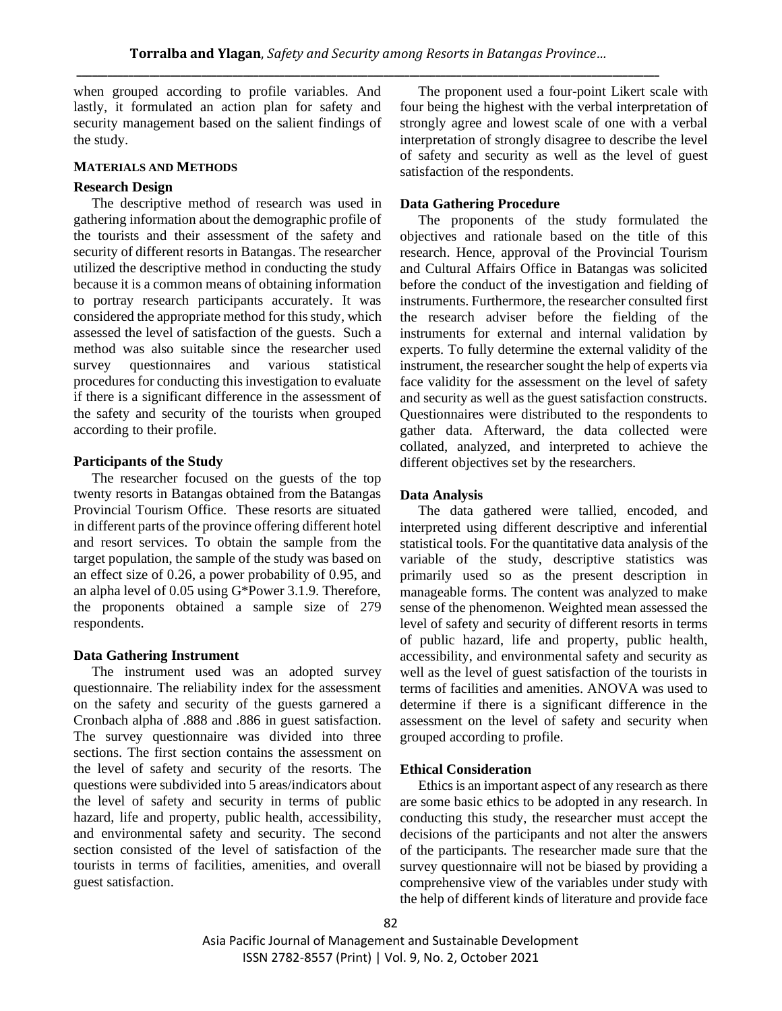when grouped according to profile variables. And lastly, it formulated an action plan for safety and security management based on the salient findings of the study.

# **MATERIALS AND METHODS**

# **Research Design**

The descriptive method of research was used in gathering information about the demographic profile of the tourists and their assessment of the safety and security of different resorts in Batangas. The researcher utilized the descriptive method in conducting the study because it is a common means of obtaining information to portray research participants accurately. It was considered the appropriate method for this study, which assessed the level of satisfaction of the guests. Such a method was also suitable since the researcher used survey questionnaires and various statistical procedures for conducting this investigation to evaluate if there is a significant difference in the assessment of the safety and security of the tourists when grouped according to their profile.

#### **Participants of the Study**

The researcher focused on the guests of the top twenty resorts in Batangas obtained from the Batangas Provincial Tourism Office. These resorts are situated in different parts of the province offering different hotel and resort services. To obtain the sample from the target population, the sample of the study was based on an effect size of 0.26, a power probability of 0.95, and an alpha level of 0.05 using G\*Power 3.1.9. Therefore, the proponents obtained a sample size of 279 respondents.

# **Data Gathering Instrument**

The instrument used was an adopted survey questionnaire. The reliability index for the assessment on the safety and security of the guests garnered a Cronbach alpha of .888 and .886 in guest satisfaction. The survey questionnaire was divided into three sections. The first section contains the assessment on the level of safety and security of the resorts. The questions were subdivided into 5 areas/indicators about the level of safety and security in terms of public hazard, life and property, public health, accessibility, and environmental safety and security. The second section consisted of the level of satisfaction of the tourists in terms of facilities, amenities, and overall guest satisfaction.

The proponent used a four-point Likert scale with four being the highest with the verbal interpretation of strongly agree and lowest scale of one with a verbal interpretation of strongly disagree to describe the level of safety and security as well as the level of guest satisfaction of the respondents.

#### **Data Gathering Procedure**

The proponents of the study formulated the objectives and rationale based on the title of this research. Hence, approval of the Provincial Tourism and Cultural Affairs Office in Batangas was solicited before the conduct of the investigation and fielding of instruments. Furthermore, the researcher consulted first the research adviser before the fielding of the instruments for external and internal validation by experts. To fully determine the external validity of the instrument, the researcher sought the help of experts via face validity for the assessment on the level of safety and security as well as the guest satisfaction constructs. Questionnaires were distributed to the respondents to gather data. Afterward, the data collected were collated, analyzed, and interpreted to achieve the different objectives set by the researchers.

# **Data Analysis**

The data gathered were tallied, encoded, and interpreted using different descriptive and inferential statistical tools. For the quantitative data analysis of the variable of the study, descriptive statistics was primarily used so as the present description in manageable forms. The content was analyzed to make sense of the phenomenon. Weighted mean assessed the level of safety and security of different resorts in terms of public hazard, life and property, public health, accessibility, and environmental safety and security as well as the level of guest satisfaction of the tourists in terms of facilities and amenities. ANOVA was used to determine if there is a significant difference in the assessment on the level of safety and security when grouped according to profile.

# **Ethical Consideration**

Ethics is an important aspect of any research as there are some basic ethics to be adopted in any research. In conducting this study, the researcher must accept the decisions of the participants and not alter the answers of the participants. The researcher made sure that the survey questionnaire will not be biased by providing a comprehensive view of the variables under study with the help of different kinds of literature and provide face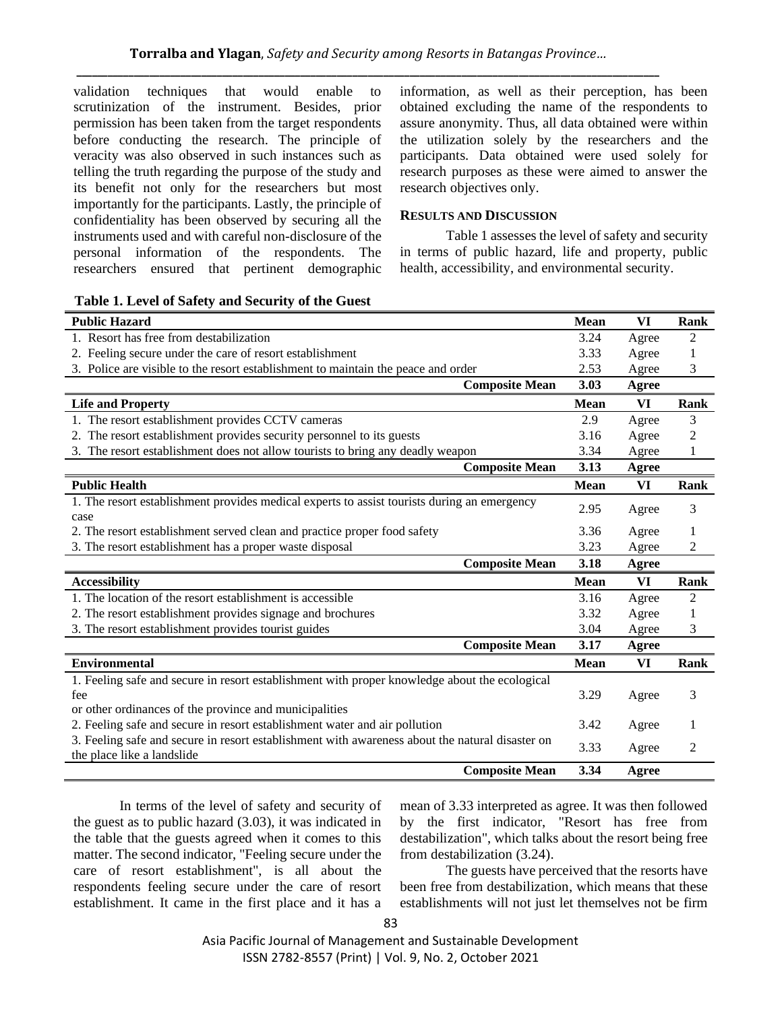validation techniques that would enable to scrutinization of the instrument. Besides, prior permission has been taken from the target respondents before conducting the research. The principle of veracity was also observed in such instances such as telling the truth regarding the purpose of the study and its benefit not only for the researchers but most importantly for the participants. Lastly, the principle of confidentiality has been observed by securing all the instruments used and with careful non-disclosure of the personal information of the respondents. The researchers ensured that pertinent demographic information, as well as their perception, has been obtained excluding the name of the respondents to assure anonymity. Thus, all data obtained were within the utilization solely by the researchers and the participants. Data obtained were used solely for research purposes as these were aimed to answer the research objectives only.

# **RESULTS AND DISCUSSION**

Table 1 assesses the level of safety and security in terms of public hazard, life and property, public health, accessibility, and environmental security.

| <b>Public Hazard</b>                                                                            | <b>Mean</b> | VI           | Rank           |
|-------------------------------------------------------------------------------------------------|-------------|--------------|----------------|
| 1. Resort has free from destabilization                                                         | 3.24        | Agree        | 2              |
| 2. Feeling secure under the care of resort establishment                                        | 3.33        | Agree        | 1              |
| 3. Police are visible to the resort establishment to maintain the peace and order               | 2.53        | Agree        | 3              |
| <b>Composite Mean</b>                                                                           | 3.03        | <b>Agree</b> |                |
| <b>Life and Property</b>                                                                        | <b>Mean</b> | VI           | Rank           |
| 1. The resort establishment provides CCTV cameras                                               | 2.9         | Agree        | 3              |
| 2. The resort establishment provides security personnel to its guests                           | 3.16        | Agree        | $\overline{c}$ |
| 3. The resort establishment does not allow tourists to bring any deadly weapon                  | 3.34        | Agree        | 1              |
| <b>Composite Mean</b>                                                                           | 3.13        | Agree        |                |
| <b>Public Health</b>                                                                            | <b>Mean</b> | VI           | Rank           |
| 1. The resort establishment provides medical experts to assist tourists during an emergency     | 2.95        | Agree        | 3              |
| case                                                                                            |             |              |                |
| 2. The resort establishment served clean and practice proper food safety                        | 3.36        | Agree        | 1              |
| 3. The resort establishment has a proper waste disposal                                         | 3.23        | Agree        | 2              |
| <b>Composite Mean</b>                                                                           | 3.18        | Agree        |                |
| <b>Accessibility</b>                                                                            | <b>Mean</b> | VI           | Rank           |
| 1. The location of the resort establishment is accessible                                       | 3.16        | Agree        | $\overline{2}$ |
| 2. The resort establishment provides signage and brochures                                      | 3.32        | Agree        | 1              |
| 3. The resort establishment provides tourist guides                                             | 3.04        | Agree        | 3              |
| <b>Composite Mean</b>                                                                           | 3.17        | Agree        |                |
| <b>Environmental</b>                                                                            | <b>Mean</b> | VI           | Rank           |
| 1. Feeling safe and secure in resort establishment with proper knowledge about the ecological   |             |              |                |
| fee                                                                                             | 3.29        | Agree        | 3              |
| or other ordinances of the province and municipalities                                          |             |              |                |
| 2. Feeling safe and secure in resort establishment water and air pollution                      | 3.42        | Agree        | 1              |
| 3. Feeling safe and secure in resort establishment with awareness about the natural disaster on | 3.33        | Agree        | 2              |
| the place like a landslide                                                                      |             |              |                |
| <b>Composite Mean</b>                                                                           | 3.34        | Agree        |                |

In terms of the level of safety and security of the guest as to public hazard (3.03), it was indicated in the table that the guests agreed when it comes to this matter. The second indicator, "Feeling secure under the care of resort establishment", is all about the respondents feeling secure under the care of resort establishment. It came in the first place and it has a mean of 3.33 interpreted as agree. It was then followed by the first indicator, "Resort has free from destabilization", which talks about the resort being free from destabilization (3.24).

The guests have perceived that the resorts have been free from destabilization, which means that these establishments will not just let themselves not be firm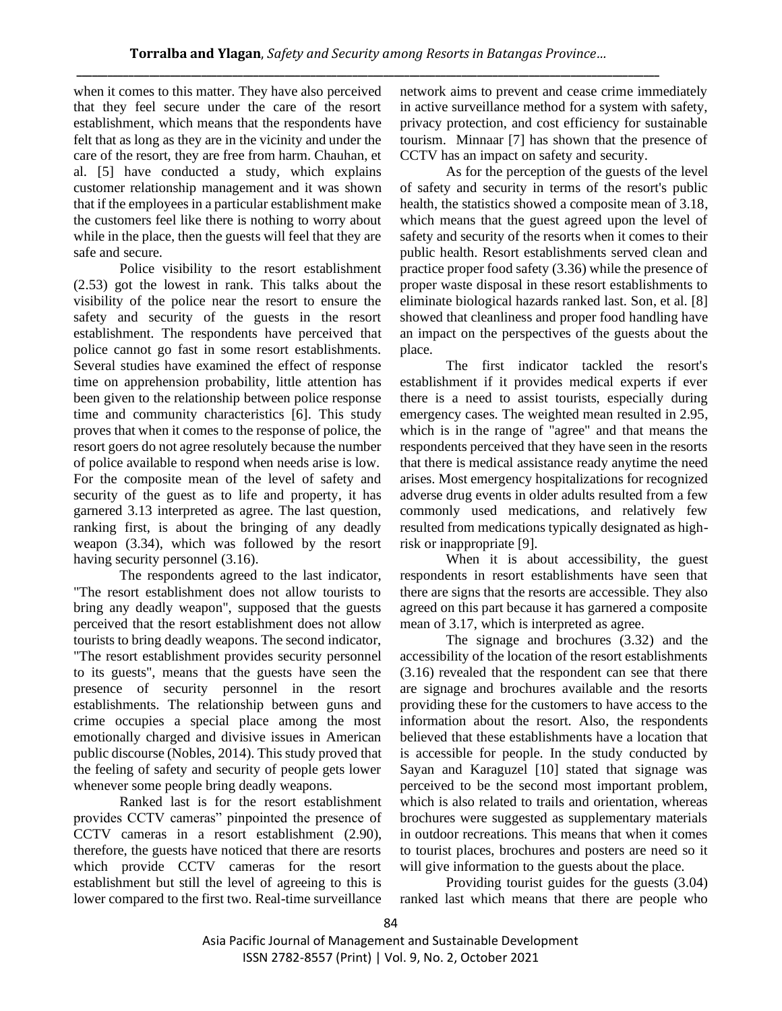when it comes to this matter. They have also perceived that they feel secure under the care of the resort establishment, which means that the respondents have felt that as long as they are in the vicinity and under the care of the resort, they are free from harm. Chauhan, et al. [5] have conducted a study, which explains customer relationship management and it was shown that if the employees in a particular establishment make the customers feel like there is nothing to worry about while in the place, then the guests will feel that they are safe and secure.

Police visibility to the resort establishment (2.53) got the lowest in rank. This talks about the visibility of the police near the resort to ensure the safety and security of the guests in the resort establishment. The respondents have perceived that police cannot go fast in some resort establishments. Several studies have examined the effect of response time on apprehension probability, little attention has been given to the relationship between police response time and community characteristics [6]. This study proves that when it comes to the response of police, the resort goers do not agree resolutely because the number of police available to respond when needs arise is low. For the composite mean of the level of safety and security of the guest as to life and property, it has garnered 3.13 interpreted as agree. The last question, ranking first, is about the bringing of any deadly weapon (3.34), which was followed by the resort having security personnel (3.16).

The respondents agreed to the last indicator, "The resort establishment does not allow tourists to bring any deadly weapon", supposed that the guests perceived that the resort establishment does not allow tourists to bring deadly weapons. The second indicator, "The resort establishment provides security personnel to its guests", means that the guests have seen the presence of security personnel in the resort establishments. The relationship between guns and crime occupies a special place among the most emotionally charged and divisive issues in American public discourse (Nobles, 2014). This study proved that the feeling of safety and security of people gets lower whenever some people bring deadly weapons.

Ranked last is for the resort establishment provides CCTV cameras" pinpointed the presence of CCTV cameras in a resort establishment (2.90), therefore, the guests have noticed that there are resorts which provide CCTV cameras for the resort establishment but still the level of agreeing to this is lower compared to the first two. Real-time surveillance network aims to prevent and cease crime immediately in active surveillance method for a system with safety, privacy protection, and cost efficiency for sustainable tourism. Minnaar [7] has shown that the presence of CCTV has an impact on safety and security.

As for the perception of the guests of the level of safety and security in terms of the resort's public health, the statistics showed a composite mean of 3.18, which means that the guest agreed upon the level of safety and security of the resorts when it comes to their public health. Resort establishments served clean and practice proper food safety (3.36) while the presence of proper waste disposal in these resort establishments to eliminate biological hazards ranked last. Son, et al. [8] showed that cleanliness and proper food handling have an impact on the perspectives of the guests about the place.

The first indicator tackled the resort's establishment if it provides medical experts if ever there is a need to assist tourists, especially during emergency cases. The weighted mean resulted in 2.95, which is in the range of "agree" and that means the respondents perceived that they have seen in the resorts that there is medical assistance ready anytime the need arises. Most emergency hospitalizations for recognized adverse drug events in older adults resulted from a few commonly used medications, and relatively few resulted from medications typically designated as highrisk or inappropriate [9].

When it is about accessibility, the guest respondents in resort establishments have seen that there are signs that the resorts are accessible. They also agreed on this part because it has garnered a composite mean of 3.17, which is interpreted as agree.

The signage and brochures (3.32) and the accessibility of the location of the resort establishments (3.16) revealed that the respondent can see that there are signage and brochures available and the resorts providing these for the customers to have access to the information about the resort. Also, the respondents believed that these establishments have a location that is accessible for people. In the study conducted by Sayan and Karaguzel [10] stated that signage was perceived to be the second most important problem, which is also related to trails and orientation, whereas brochures were suggested as supplementary materials in outdoor recreations. This means that when it comes to tourist places, brochures and posters are need so it will give information to the guests about the place.

Providing tourist guides for the guests (3.04) ranked last which means that there are people who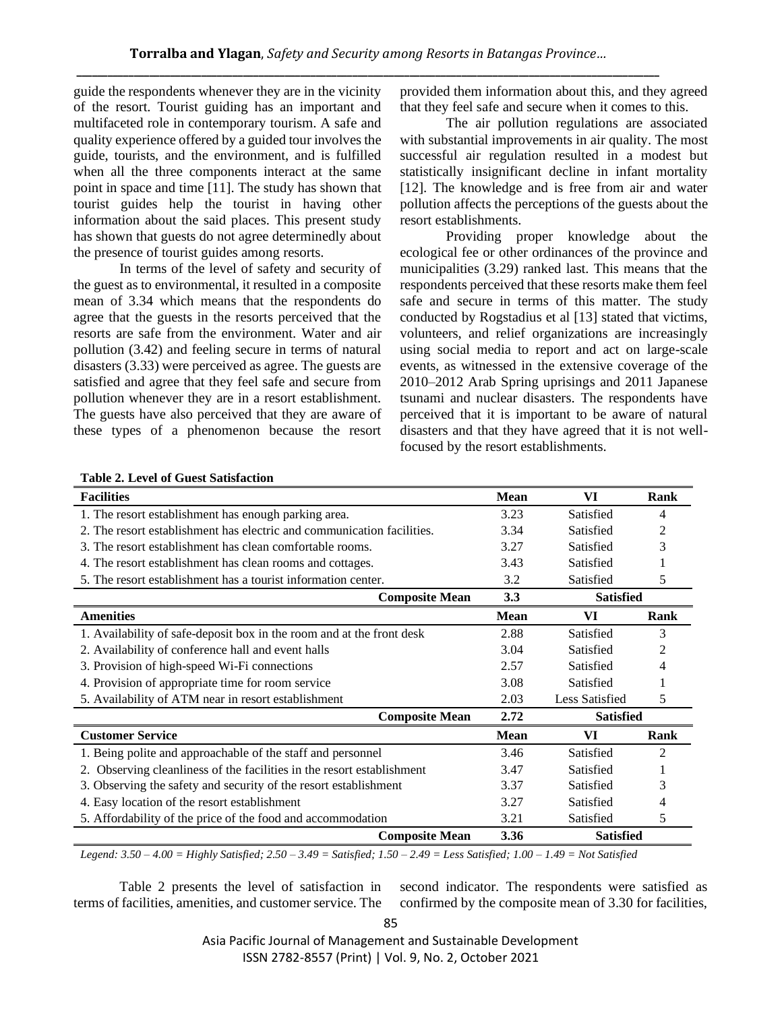guide the respondents whenever they are in the vicinity of the resort. Tourist guiding has an important and multifaceted role in contemporary tourism. A safe and quality experience offered by a guided tour involves the guide, tourists, and the environment, and is fulfilled when all the three components interact at the same point in space and time [11]. The study has shown that tourist guides help the tourist in having other information about the said places. This present study has shown that guests do not agree determinedly about the presence of tourist guides among resorts.

In terms of the level of safety and security of the guest as to environmental, it resulted in a composite mean of 3.34 which means that the respondents do agree that the guests in the resorts perceived that the resorts are safe from the environment. Water and air pollution (3.42) and feeling secure in terms of natural disasters (3.33) were perceived as agree. The guests are satisfied and agree that they feel safe and secure from pollution whenever they are in a resort establishment. The guests have also perceived that they are aware of these types of a phenomenon because the resort provided them information about this, and they agreed that they feel safe and secure when it comes to this.

The air pollution regulations are associated with substantial improvements in air quality. The most successful air regulation resulted in a modest but statistically insignificant decline in infant mortality [12]. The knowledge and is free from air and water pollution affects the perceptions of the guests about the resort establishments.

Providing proper knowledge about the ecological fee or other ordinances of the province and municipalities (3.29) ranked last. This means that the respondents perceived that these resorts make them feel safe and secure in terms of this matter. The study conducted by Rogstadius et al [13] stated that victims, volunteers, and relief organizations are increasingly using social media to report and act on large-scale events, as witnessed in the extensive coverage of the 2010–2012 Arab Spring uprisings and 2011 Japanese tsunami and nuclear disasters. The respondents have perceived that it is important to be aware of natural disasters and that they have agreed that it is not wellfocused by the resort establishments.

| <b>Facilities</b>                                                         | <b>Mean</b> | VI               | Rank |
|---------------------------------------------------------------------------|-------------|------------------|------|
| 1. The resort establishment has enough parking area.                      | 3.23        | Satisfied        | 4    |
| 2. The resort establishment has electric and communication facilities.    | 3.34        | Satisfied        |      |
| 3. The resort establishment has clean comfortable rooms.                  | 3.27        | Satisfied        | 3    |
| 4. The resort establishment has clean rooms and cottages.                 |             | Satisfied        |      |
| 5. The resort establishment has a tourist information center.             | 3.2         | Satisfied        | 5    |
| <b>Composite Mean</b>                                                     | 3.3         | <b>Satisfied</b> |      |
| <b>Amenities</b>                                                          | <b>Mean</b> | VI               | Rank |
| 1. Availability of safe-deposit box in the room and at the front desk     | 2.88        | Satisfied        | 3    |
| 2. Availability of conference hall and event halls                        | 3.04        | Satisfied        | 2    |
| 3. Provision of high-speed Wi-Fi connections                              | 2.57        | Satisfied        |      |
| 4. Provision of appropriate time for room service                         | 3.08        | Satisfied        |      |
| 5. Availability of ATM near in resort establishment                       | 2.03        | Less Satisfied   | 5    |
| <b>Composite Mean</b>                                                     | 2.72        | <b>Satisfied</b> |      |
| <b>Customer Service</b>                                                   | <b>Mean</b> | VI               | Rank |
| 1. Being polite and approachable of the staff and personnel               | 3.46        | Satisfied        | 2    |
| Observing cleanliness of the facilities in the resort establishment<br>2. | 3.47        | Satisfied        |      |
| 3. Observing the safety and security of the resort establishment          | 3.37        | Satisfied        | 3    |
| 4. Easy location of the resort establishment                              | 3.27        | Satisfied        | 4    |
| 5. Affordability of the price of the food and accommodation               | 3.21        | Satisfied        | 5    |
| <b>Composite Mean</b>                                                     | 3.36        | <b>Satisfied</b> |      |

**Table 2. Level of Guest Satisfaction** 

*Legend: 3.50 – 4.00 = Highly Satisfied; 2.50 – 3.49 = Satisfied; 1.50 – 2.49 = Less Satisfied; 1.00 – 1.49 = Not Satisfied* 

Table 2 presents the level of satisfaction in terms of facilities, amenities, and customer service. The second indicator. The respondents were satisfied as confirmed by the composite mean of 3.30 for facilities,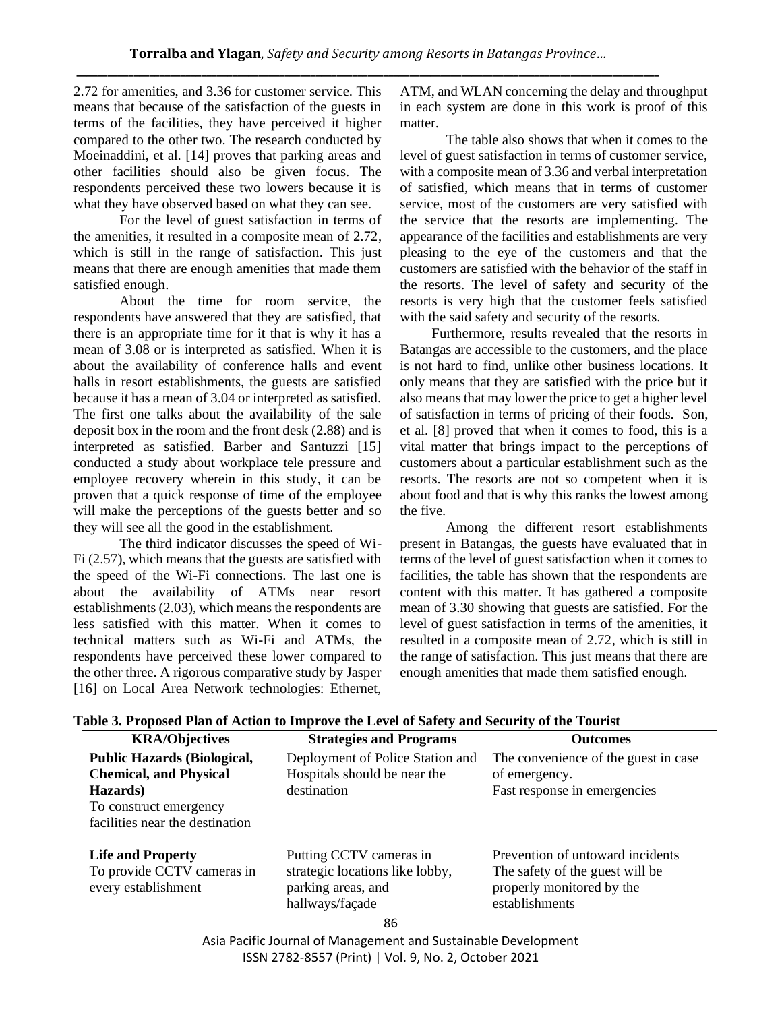2.72 for amenities, and 3.36 for customer service. This means that because of the satisfaction of the guests in terms of the facilities, they have perceived it higher compared to the other two. The research conducted by Moeinaddini, et al. [14] proves that parking areas and other facilities should also be given focus. The respondents perceived these two lowers because it is what they have observed based on what they can see.

For the level of guest satisfaction in terms of the amenities, it resulted in a composite mean of 2.72, which is still in the range of satisfaction. This just means that there are enough amenities that made them satisfied enough.

About the time for room service, the respondents have answered that they are satisfied, that there is an appropriate time for it that is why it has a mean of 3.08 or is interpreted as satisfied. When it is about the availability of conference halls and event halls in resort establishments, the guests are satisfied because it has a mean of 3.04 or interpreted as satisfied. The first one talks about the availability of the sale deposit box in the room and the front desk (2.88) and is interpreted as satisfied. Barber and Santuzzi [15] conducted a study about workplace tele pressure and employee recovery wherein in this study, it can be proven that a quick response of time of the employee will make the perceptions of the guests better and so they will see all the good in the establishment.

The third indicator discusses the speed of Wi-Fi (2.57), which means that the guests are satisfied with the speed of the Wi-Fi connections. The last one is about the availability of ATMs near resort establishments (2.03), which means the respondents are less satisfied with this matter. When it comes to technical matters such as Wi-Fi and ATMs, the respondents have perceived these lower compared to the other three. A rigorous comparative study by Jasper [16] on Local Area Network technologies: Ethernet, ATM, and WLAN concerning the delay and throughput in each system are done in this work is proof of this matter.

The table also shows that when it comes to the level of guest satisfaction in terms of customer service, with a composite mean of 3.36 and verbal interpretation of satisfied, which means that in terms of customer service, most of the customers are very satisfied with the service that the resorts are implementing. The appearance of the facilities and establishments are very pleasing to the eye of the customers and that the customers are satisfied with the behavior of the staff in the resorts. The level of safety and security of the resorts is very high that the customer feels satisfied with the said safety and security of the resorts.

 Furthermore, results revealed that the resorts in Batangas are accessible to the customers, and the place is not hard to find, unlike other business locations. It only means that they are satisfied with the price but it also means that may lower the price to get a higher level of satisfaction in terms of pricing of their foods. Son, et al. [8] proved that when it comes to food, this is a vital matter that brings impact to the perceptions of customers about a particular establishment such as the resorts. The resorts are not so competent when it is about food and that is why this ranks the lowest among the five.

Among the different resort establishments present in Batangas, the guests have evaluated that in terms of the level of guest satisfaction when it comes to facilities, the table has shown that the respondents are content with this matter. It has gathered a composite mean of 3.30 showing that guests are satisfied. For the level of guest satisfaction in terms of the amenities, it resulted in a composite mean of 2.72, which is still in the range of satisfaction. This just means that there are enough amenities that made them satisfied enough.

| <b>KRA/Objectives</b>                             | <b>Strategies and Programs</b>                                           | <b>Outcomes</b>                                                                |
|---------------------------------------------------|--------------------------------------------------------------------------|--------------------------------------------------------------------------------|
| <b>Public Hazards (Biological,</b>                | Deployment of Police Station and                                         | The convenience of the guest in case                                           |
| <b>Chemical, and Physical</b>                     | Hospitals should be near the                                             | of emergency.                                                                  |
| Hazards)                                          | destination                                                              | Fast response in emergencies                                                   |
| To construct emergency                            |                                                                          |                                                                                |
| facilities near the destination                   |                                                                          |                                                                                |
| <b>Life and Property</b>                          | Putting CCTV cameras in                                                  | Prevention of untoward incidents                                               |
| To provide CCTV cameras in<br>every establishment | strategic locations like lobby,<br>parking areas, and<br>hallways/façade | The safety of the guest will be<br>properly monitored by the<br>establishments |
|                                                   | 86                                                                       |                                                                                |

**Table 3. Proposed Plan of Action to Improve the Level of Safety and Security of the Tourist**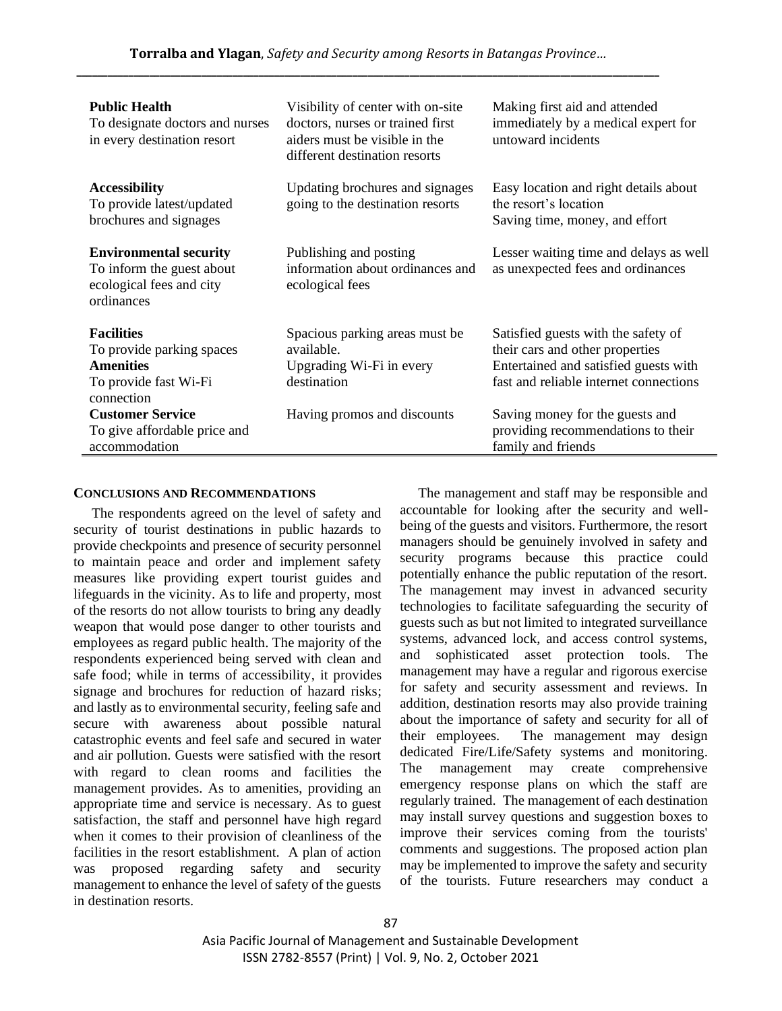| <b>Public Health</b><br>To designate doctors and nurses<br>in every destination resort                    | Visibility of center with on-site<br>doctors, nurses or trained first<br>aiders must be visible in the<br>different destination resorts | Making first aid and attended<br>immediately by a medical expert for<br>untoward incidents                                                                |
|-----------------------------------------------------------------------------------------------------------|-----------------------------------------------------------------------------------------------------------------------------------------|-----------------------------------------------------------------------------------------------------------------------------------------------------------|
| <b>Accessibility</b><br>To provide latest/updated<br>brochures and signages                               | Updating brochures and signages<br>going to the destination resorts                                                                     | Easy location and right details about<br>the resort's location<br>Saving time, money, and effort                                                          |
| <b>Environmental security</b><br>To inform the guest about<br>ecological fees and city<br>ordinances      | Publishing and posting<br>information about ordinances and<br>ecological fees                                                           | Lesser waiting time and delays as well<br>as unexpected fees and ordinances                                                                               |
| <b>Facilities</b><br>To provide parking spaces<br><b>Amenities</b><br>To provide fast Wi-Fi<br>connection | Spacious parking areas must be.<br>available.<br>Upgrading Wi-Fi in every<br>destination                                                | Satisfied guests with the safety of<br>their cars and other properties<br>Entertained and satisfied guests with<br>fast and reliable internet connections |
| <b>Customer Service</b><br>To give affordable price and<br>accommodation                                  | Having promos and discounts                                                                                                             | Saving money for the guests and<br>providing recommendations to their<br>family and friends                                                               |

#### **CONCLUSIONS AND RECOMMENDATIONS**

The respondents agreed on the level of safety and security of tourist destinations in public hazards to provide checkpoints and presence of security personnel to maintain peace and order and implement safety measures like providing expert tourist guides and lifeguards in the vicinity. As to life and property, most of the resorts do not allow tourists to bring any deadly weapon that would pose danger to other tourists and employees as regard public health. The majority of the respondents experienced being served with clean and safe food; while in terms of accessibility, it provides signage and brochures for reduction of hazard risks; and lastly as to environmental security, feeling safe and secure with awareness about possible natural catastrophic events and feel safe and secured in water and air pollution. Guests were satisfied with the resort with regard to clean rooms and facilities the management provides. As to amenities, providing an appropriate time and service is necessary. As to guest satisfaction, the staff and personnel have high regard when it comes to their provision of cleanliness of the facilities in the resort establishment. A plan of action was proposed regarding safety and security management to enhance the level of safety of the guests in destination resorts.

The management and staff may be responsible and accountable for looking after the security and wellbeing of the guests and visitors. Furthermore, the resort managers should be genuinely involved in safety and security programs because this practice could potentially enhance the public reputation of the resort. The management may invest in advanced security technologies to facilitate safeguarding the security of guests such as but not limited to integrated surveillance systems, advanced lock, and access control systems, and sophisticated asset protection tools. The management may have a regular and rigorous exercise for safety and security assessment and reviews. In addition, destination resorts may also provide training about the importance of safety and security for all of their employees. The management may design dedicated Fire/Life/Safety systems and monitoring. The management may create comprehensive emergency response plans on which the staff are regularly trained. The management of each destination may install survey questions and suggestion boxes to improve their services coming from the tourists' comments and suggestions. The proposed action plan may be implemented to improve the safety and security of the tourists. Future researchers may conduct a